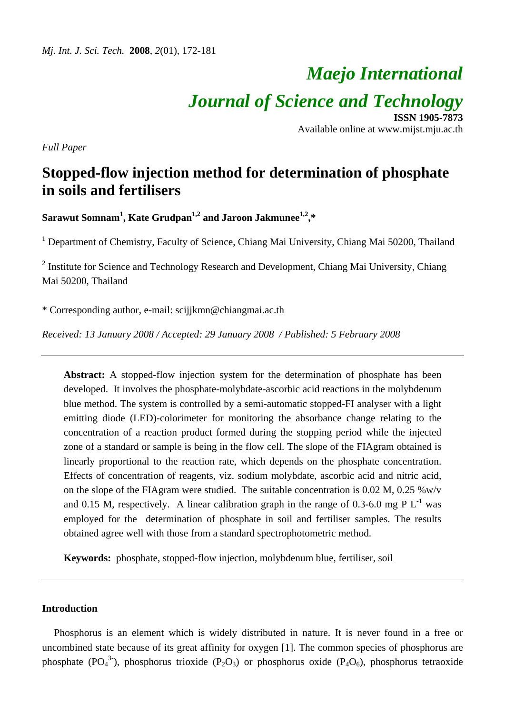# *Maejo International Journal of Science and Technology* **ISSN 1905-7873**

Available online at www.mijst.mju.ac.th

*Full Paper* 

## **Stopped-flow injection method for determination of phosphate in soils and fertilisers**

**Sarawut Somnam<sup>1</sup> , Kate Grudpan1,2 and Jaroon Jakmunee1,2,\*** 

<sup>1</sup> Department of Chemistry, Faculty of Science, Chiang Mai University, Chiang Mai 50200, Thailand

<sup>2</sup> Institute for Science and Technology Research and Development, Chiang Mai University, Chiang Mai 50200, Thailand

\* Corresponding author, e-mail: scijjkmn@chiangmai.ac.th

*Received: 13 January 2008 / Accepted: 29 January 2008 / Published: 5 February 2008* 

**Abstract:** A stopped-flow injection system for the determination of phosphate has been developed. It involves the phosphate-molybdate-ascorbic acid reactions in the molybdenum blue method. The system is controlled by a semi-automatic stopped-FI analyser with a light emitting diode (LED)-colorimeter for monitoring the absorbance change relating to the concentration of a reaction product formed during the stopping period while the injected zone of a standard or sample is being in the flow cell. The slope of the FIAgram obtained is linearly proportional to the reaction rate, which depends on the phosphate concentration. Effects of concentration of reagents, viz. sodium molybdate, ascorbic acid and nitric acid, on the slope of the FIAgram were studied. The suitable concentration is 0.02 M, 0.25 %w/v and 0.15 M, respectively. A linear calibration graph in the range of 0.3-6.0 mg P  $L^{-1}$  was employed for the determination of phosphate in soil and fertiliser samples. The results obtained agree well with those from a standard spectrophotometric method.

**Keywords:** phosphate, stopped-flow injection, molybdenum blue, fertiliser, soil

## **Introduction**

Phosphorus is an element which is widely distributed in nature. It is never found in a free or uncombined state because of its great affinity for oxygen [1]. The common species of phosphorus are phosphate (PO<sub>4</sub><sup>3-</sup>), phosphorus trioxide (P<sub>2</sub>O<sub>3</sub>) or phosphorus oxide (P<sub>4</sub>O<sub>6</sub>), phosphorus tetraoxide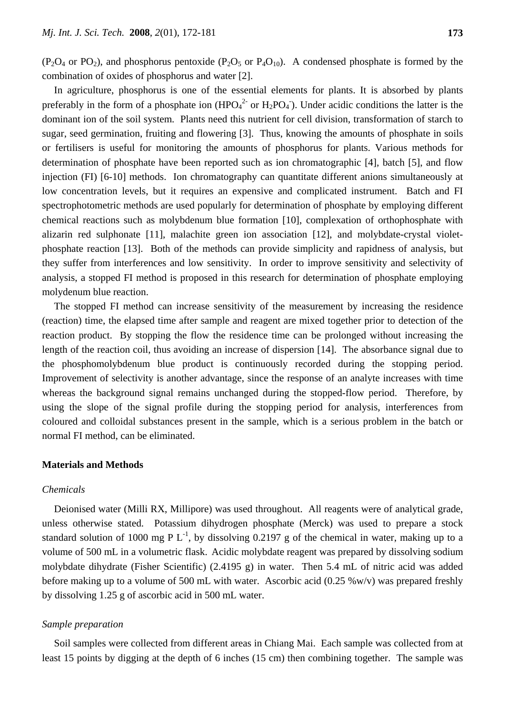$(P_2O_4$  or PO<sub>2</sub>), and phosphorus pentoxide  $(P_2O_5$  or P<sub>4</sub>O<sub>10</sub>). A condensed phosphate is formed by the combination of oxides of phosphorus and water [2].

In agriculture, phosphorus is one of the essential elements for plants. It is absorbed by plants preferably in the form of a phosphate ion  $(HPO<sub>4</sub><sup>2</sup>$  or  $H<sub>2</sub>PO<sub>4</sub>$ ). Under acidic conditions the latter is the dominant ion of the soil system. Plants need this nutrient for cell division, transformation of starch to sugar, seed germination, fruiting and flowering [3]. Thus, knowing the amounts of phosphate in soils or fertilisers is useful for monitoring the amounts of phosphorus for plants. Various methods for determination of phosphate have been reported such as ion chromatographic [4], batch [5], and flow injection (FI) [6-10] methods. Ion chromatography can quantitate different anions simultaneously at low concentration levels, but it requires an expensive and complicated instrument. Batch and FI spectrophotometric methods are used popularly for determination of phosphate by employing different chemical reactions such as molybdenum blue formation [10], complexation of orthophosphate with alizarin red sulphonate [11], malachite green ion association [12], and molybdate-crystal violetphosphate reaction [13]. Both of the methods can provide simplicity and rapidness of analysis, but they suffer from interferences and low sensitivity. In order to improve sensitivity and selectivity of analysis, a stopped FI method is proposed in this research for determination of phosphate employing molydenum blue reaction.

The stopped FI method can increase sensitivity of the measurement by increasing the residence (reaction) time, the elapsed time after sample and reagent are mixed together prior to detection of the reaction product. By stopping the flow the residence time can be prolonged without increasing the length of the reaction coil, thus avoiding an increase of dispersion [14]. The absorbance signal due to the phosphomolybdenum blue product is continuously recorded during the stopping period. Improvement of selectivity is another advantage, since the response of an analyte increases with time whereas the background signal remains unchanged during the stopped-flow period. Therefore, by using the slope of the signal profile during the stopping period for analysis, interferences from coloured and colloidal substances present in the sample, which is a serious problem in the batch or normal FI method, can be eliminated.

## **Materials and Methods**

## *Chemicals*

Deionised water (Milli RX, Millipore) was used throughout. All reagents were of analytical grade, unless otherwise stated. Potassium dihydrogen phosphate (Merck) was used to prepare a stock standard solution of 1000 mg P  $L^{-1}$ , by dissolving 0.2197 g of the chemical in water, making up to a volume of 500 mL in a volumetric flask. Acidic molybdate reagent was prepared by dissolving sodium molybdate dihydrate (Fisher Scientific) (2.4195 g) in water. Then 5.4 mL of nitric acid was added before making up to a volume of 500 mL with water. Ascorbic acid (0.25 %w/v) was prepared freshly by dissolving 1.25 g of ascorbic acid in 500 mL water.

## *Sample preparation*

Soil samples were collected from different areas in Chiang Mai. Each sample was collected from at least 15 points by digging at the depth of 6 inches (15 cm) then combining together. The sample was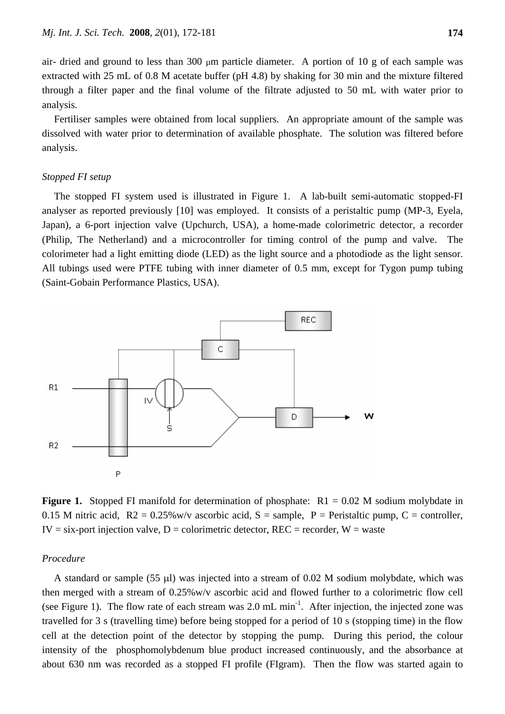air- dried and ground to less than 300  $\mu$ m particle diameter. A portion of 10 g of each sample was extracted with 25 mL of 0.8 M acetate buffer (pH 4.8) by shaking for 30 min and the mixture filtered through a filter paper and the final volume of the filtrate adjusted to 50 mL with water prior to analysis.

Fertiliser samples were obtained from local suppliers. An appropriate amount of the sample was dissolved with water prior to determination of available phosphate. The solution was filtered before analysis.

## *Stopped FI setup*

The stopped FI system used is illustrated in Figure 1. A lab-built semi-automatic stopped-FI analyser as reported previously [10] was employed. It consists of a peristaltic pump (MP-3, Eyela, Japan), a 6-port injection valve (Upchurch, USA), a home-made colorimetric detector, a recorder (Philip, The Netherland) and a microcontroller for timing control of the pump and valve. The colorimeter had a light emitting diode (LED) as the light source and a photodiode as the light sensor. All tubings used were PTFE tubing with inner diameter of 0.5 mm, except for Tygon pump tubing (Saint-Gobain Performance Plastics, USA).



**Figure 1.** Stopped FI manifold for determination of phosphate:  $R1 = 0.02$  M sodium molybdate in 0.15 M nitric acid,  $R_2 = 0.25\%$  w/v ascorbic acid,  $S =$  sample,  $P =$  Peristaltic pump,  $C =$  controller,  $IV = six$ -port injection valve,  $D =$  colorimetric detector, REC = recorder, W = waste

## *Procedure*

A standard or sample (55 μl) was injected into a stream of 0.02 M sodium molybdate, which was then merged with a stream of 0.25%w/v ascorbic acid and flowed further to a colorimetric flow cell (see Figure 1). The flow rate of each stream was  $2.0 \text{ mL min}^{-1}$ . After injection, the injected zone was travelled for 3 s (travelling time) before being stopped for a period of 10 s (stopping time) in the flow cell at the detection point of the detector by stopping the pump. During this period, the colour intensity of the phosphomolybdenum blue product increased continuously, and the absorbance at about 630 nm was recorded as a stopped FI profile (FIgram). Then the flow was started again to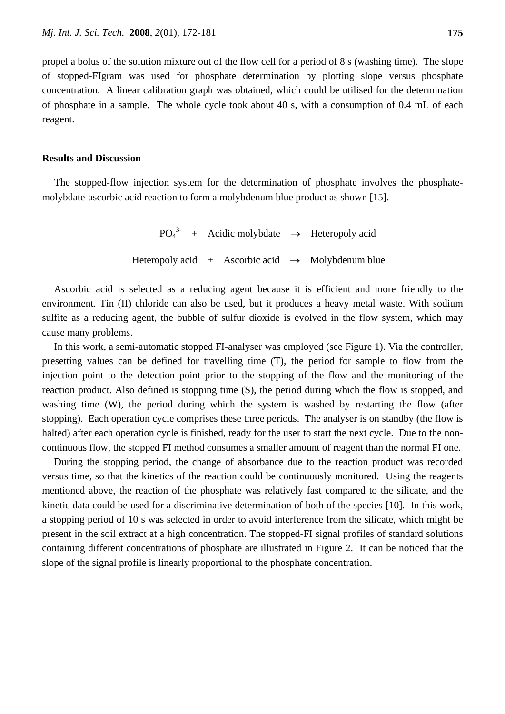propel a bolus of the solution mixture out of the flow cell for a period of 8 s (washing time). The slope of stopped-FIgram was used for phosphate determination by plotting slope versus phosphate concentration. A linear calibration graph was obtained, which could be utilised for the determination of phosphate in a sample. The whole cycle took about 40 s, with a consumption of 0.4 mL of each reagent.

## **Results and Discussion**

The stopped-flow injection system for the determination of phosphate involves the phosphatemolybdate-ascorbic acid reaction to form a molybdenum blue product as shown [15].

> $PO<sub>4</sub><sup>3-</sup> + Acidic molybdate \rightarrow Heteropoly acid$ Heteropoly acid + Ascorbic acid  $\rightarrow$  Molybdenum blue

Ascorbic acid is selected as a reducing agent because it is efficient and more friendly to the environment. Tin (II) chloride can also be used, but it produces a heavy metal waste. With sodium sulfite as a reducing agent, the bubble of sulfur dioxide is evolved in the flow system, which may cause many problems.

In this work, a semi-automatic stopped FI-analyser was employed (see Figure 1). Via the controller, presetting values can be defined for travelling time (T), the period for sample to flow from the injection point to the detection point prior to the stopping of the flow and the monitoring of the reaction product. Also defined is stopping time (S), the period during which the flow is stopped, and washing time (W), the period during which the system is washed by restarting the flow (after stopping). Each operation cycle comprises these three periods. The analyser is on standby (the flow is halted) after each operation cycle is finished, ready for the user to start the next cycle. Due to the noncontinuous flow, the stopped FI method consumes a smaller amount of reagent than the normal FI one.

During the stopping period, the change of absorbance due to the reaction product was recorded versus time, so that the kinetics of the reaction could be continuously monitored. Using the reagents mentioned above, the reaction of the phosphate was relatively fast compared to the silicate, and the kinetic data could be used for a discriminative determination of both of the species [10]. In this work, a stopping period of 10 s was selected in order to avoid interference from the silicate, which might be present in the soil extract at a high concentration. The stopped-FI signal profiles of standard solutions containing different concentrations of phosphate are illustrated in Figure 2. It can be noticed that the slope of the signal profile is linearly proportional to the phosphate concentration.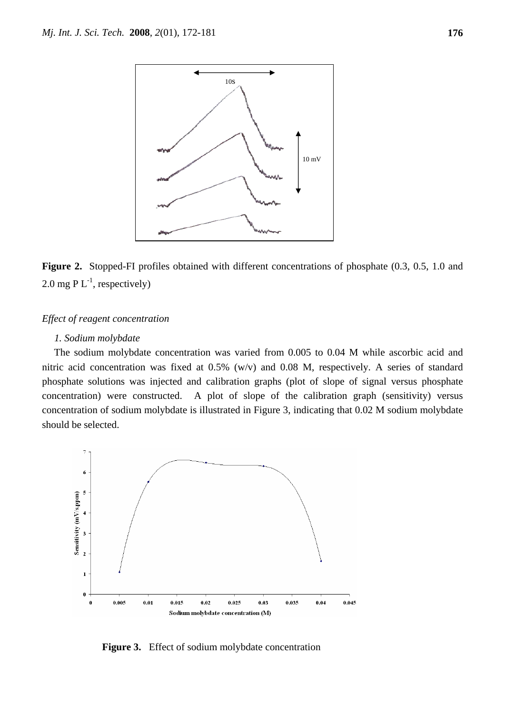

**Figure 2.** Stopped-FI profiles obtained with different concentrations of phosphate (0.3, 0.5, 1.0 and 2.0 mg P  $L^{-1}$ , respectively)

## *Effect of reagent concentration*

## *1. Sodium molybdate*

The sodium molybdate concentration was varied from 0.005 to 0.04 M while ascorbic acid and nitric acid concentration was fixed at 0.5% (w/v) and 0.08 M, respectively. A series of standard phosphate solutions was injected and calibration graphs (plot of slope of signal versus phosphate concentration) were constructed. A plot of slope of the calibration graph (sensitivity) versus concentration of sodium molybdate is illustrated in Figure 3, indicating that 0.02 M sodium molybdate should be selected.



**Figure 3.** Effect of sodium molybdate concentration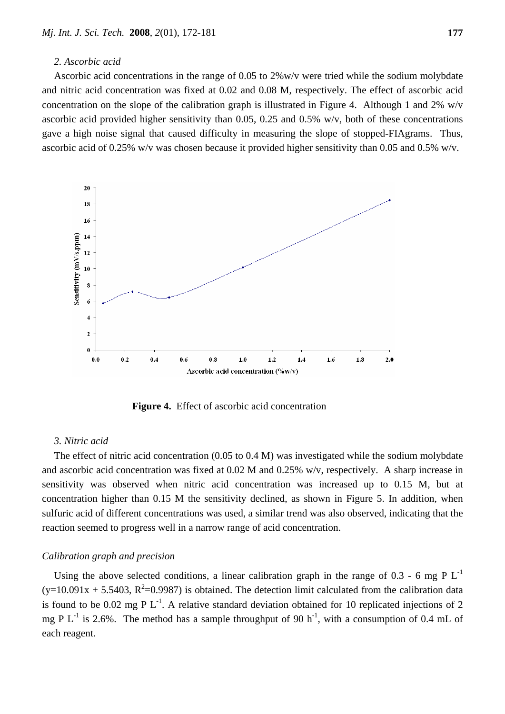## *2. Ascorbic acid*

Ascorbic acid concentrations in the range of 0.05 to 2%w/v were tried while the sodium molybdate and nitric acid concentration was fixed at 0.02 and 0.08 M, respectively. The effect of ascorbic acid concentration on the slope of the calibration graph is illustrated in Figure 4. Although 1 and 2% w/v ascorbic acid provided higher sensitivity than 0.05, 0.25 and 0.5% w/v, both of these concentrations gave a high noise signal that caused difficulty in measuring the slope of stopped-FIAgrams. Thus, ascorbic acid of 0.25% w/v was chosen because it provided higher sensitivity than 0.05 and 0.5% w/v.



**Figure 4.** Effect of ascorbic acid concentration

## *3. Nitric acid*

The effect of nitric acid concentration (0.05 to 0.4 M) was investigated while the sodium molybdate and ascorbic acid concentration was fixed at 0.02 M and 0.25% w/v, respectively. A sharp increase in sensitivity was observed when nitric acid concentration was increased up to 0.15 M, but at concentration higher than 0.15 M the sensitivity declined, as shown in Figure 5. In addition, when sulfuric acid of different concentrations was used, a similar trend was also observed, indicating that the reaction seemed to progress well in a narrow range of acid concentration.

#### *Calibration graph and precision*

Using the above selected conditions, a linear calibration graph in the range of 0.3 - 6 mg P  $L^{-1}$  $(y=10.091x + 5.5403, R^2=0.9987)$  is obtained. The detection limit calculated from the calibration data is found to be 0.02 mg P  $L^{-1}$ . A relative standard deviation obtained for 10 replicated injections of 2 mg P  $L^{-1}$  is 2.6%. The method has a sample throughput of 90 h<sup>-1</sup>, with a consumption of 0.4 mL of each reagent.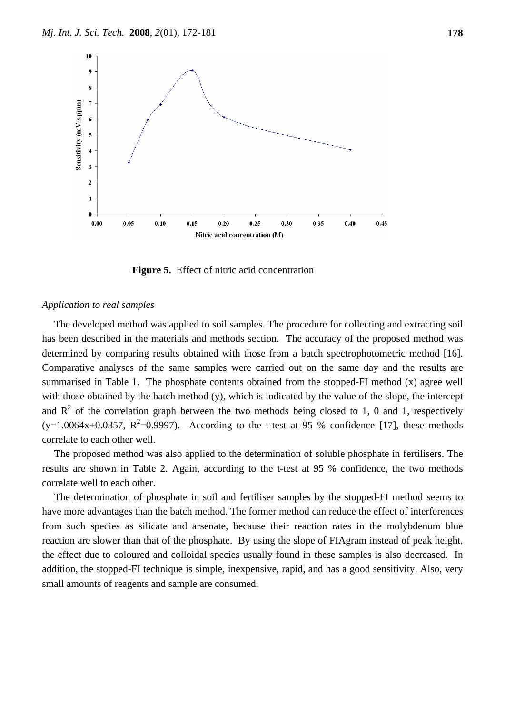

**Figure 5.** Effect of nitric acid concentration

#### *Application to real samples*

The developed method was applied to soil samples. The procedure for collecting and extracting soil has been described in the materials and methods section. The accuracy of the proposed method was determined by comparing results obtained with those from a batch spectrophotometric method [16]. Comparative analyses of the same samples were carried out on the same day and the results are summarised in Table 1. The phosphate contents obtained from the stopped-FI method (x) agree well with those obtained by the batch method (y), which is indicated by the value of the slope, the intercept and  $R^2$  of the correlation graph between the two methods being closed to 1, 0 and 1, respectively  $(y=1.0064x+0.0357, R^2=0.9997)$ . According to the t-test at 95 % confidence [17], these methods correlate to each other well.

The proposed method was also applied to the determination of soluble phosphate in fertilisers. The results are shown in Table 2. Again, according to the t-test at 95 % confidence, the two methods correlate well to each other.

The determination of phosphate in soil and fertiliser samples by the stopped-FI method seems to have more advantages than the batch method. The former method can reduce the effect of interferences from such species as silicate and arsenate, because their reaction rates in the molybdenum blue reaction are slower than that of the phosphate. By using the slope of FIAgram instead of peak height, the effect due to coloured and colloidal species usually found in these samples is also decreased. In addition, the stopped-FI technique is simple, inexpensive, rapid, and has a good sensitivity. Also, very small amounts of reagents and sample are consumed.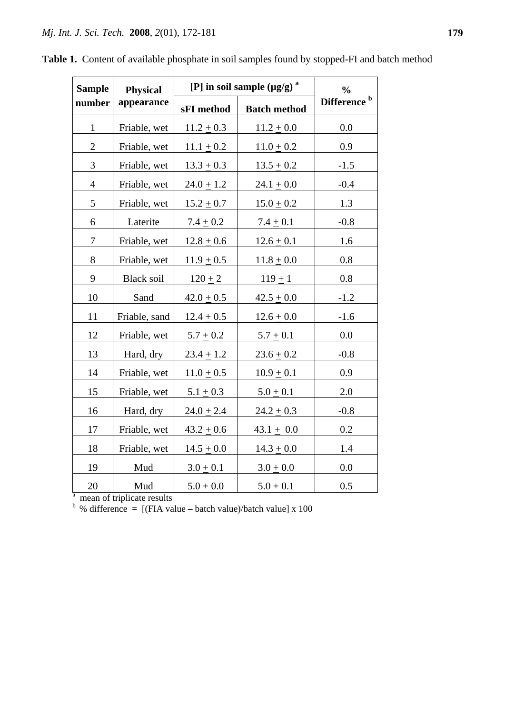| <b>Sample</b>  | <b>Physical</b>                   | [P] in soil sample $(\mu g/g)^a$ |                     | $\frac{0}{0}$           |
|----------------|-----------------------------------|----------------------------------|---------------------|-------------------------|
| number         | appearance                        | sFI method                       | <b>Batch method</b> | Difference <sup>b</sup> |
| $\mathbf{1}$   | Friable, wet                      | $11.2 \pm 0.3$                   | $11.2 \pm 0.0$      | 0.0                     |
| $\overline{2}$ | Friable, wet                      | $11.1 \pm 0.2$                   | $11.0 \pm 0.2$      | 0.9                     |
| 3              | Friable, wet                      | $13.3 + 0.3$                     | $13.5 + 0.2$        | $-1.5$                  |
| $\overline{4}$ | Friable, wet                      | $24.0 \pm 1.2$                   | $24.1 \pm 0.0$      | $-0.4$                  |
| 5              | Friable, wet                      | $15.2 \pm 0.7$                   | $15.0 \pm 0.2$      | 1.3                     |
| 6              | Laterite                          | $7.4 + 0.2$                      | $7.4 + 0.1$         | $-0.8$                  |
| 7              | Friable, wet                      | $12.8 \pm 0.6$                   | $12.6 \pm 0.1$      | 1.6                     |
| 8              | Friable, wet                      | $11.9 \pm 0.5$                   | $11.8 + 0.0$        | 0.8                     |
| 9              | <b>Black soil</b>                 | $120 + 2$                        | $119 + 1$           | 0.8                     |
| 10             | Sand                              | $42.0 \pm 0.5$                   | $42.5 \pm 0.0$      | $-1.2$                  |
| 11             | Friable, sand                     | $12.4 \pm 0.5$                   | $12.6 \pm 0.0$      | $-1.6$                  |
| 12             | Friable, wet                      | $5.7 \pm 0.2$                    | $5.7 \pm 0.1$       | 0.0                     |
| 13             | Hard, dry                         | $23.4 \pm 1.2$                   | $23.6 \pm 0.2$      | $-0.8$                  |
| 14             | Friable, wet                      | $11.0 + 0.5$                     | $10.9 + 0.1$        | 0.9                     |
| 15             | Friable, wet                      | $5.1 \pm 0.3$                    | $5.0 \pm 0.1$       | 2.0                     |
| 16             | Hard, dry                         | $24.0 \pm 2.4$                   | $24.2 \pm 0.3$      | $-0.8$                  |
| 17             | Friable, wet                      | $43.2 + 0.6$                     | $43.1 \pm 0.0$      | 0.2                     |
| 18             | Friable, wet                      | $14.5 \pm 0.0$                   | $14.3 \pm 0.0$      | 1.4                     |
| 19             | Mud                               | $3.0 \pm 0.1$                    | $3.0 + 0.0$         | 0.0                     |
| 20             | Mud<br>mean of triplicate results | $5.0 \pm 0.0$                    | $5.0 + 0.1$         | 0.5                     |

**Table 1.** Content of available phosphate in soil samples found by stopped-FI and batch method

<sup>b</sup> % difference = [(FIA value – batch value)/batch value] x 100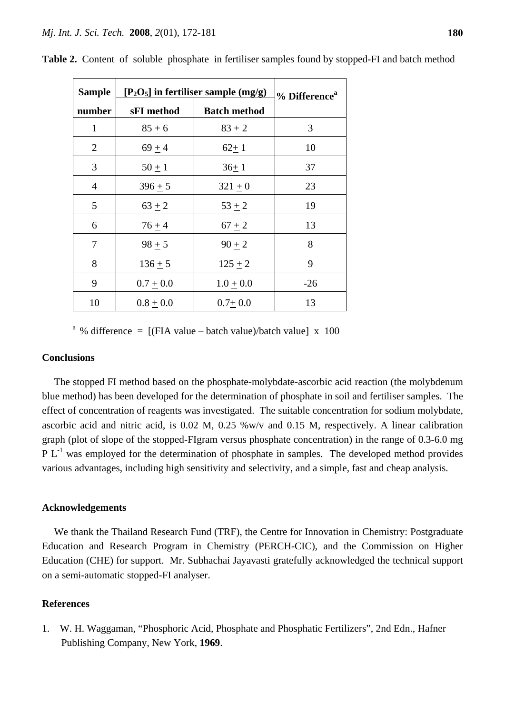| <b>Sample</b>  | $[P_2O_5]$ in fertiliser sample (mg/g) | % Difference <sup>a</sup> |       |
|----------------|----------------------------------------|---------------------------|-------|
| number         | sFI method                             | <b>Batch method</b>       |       |
| 1              | $85 + 6$                               | $83 + 2$                  | 3     |
| $\overline{2}$ | $69 + 4$                               | $62 + 1$                  | 10    |
| 3              | $50 \pm 1$                             | $36+1$                    | 37    |
| 4              | $396 + 5$                              | $321 \pm 0$               | 23    |
| 5              | $63 + 2$                               | $53 + 2$                  | 19    |
| 6              | $76 + 4$                               | $67 + 2$                  | 13    |
| 7              | $98 + 5$                               | $90 + 2$                  | 8     |
| 8              | $136 + 5$                              | $125 + 2$                 | 9     |
| 9              | $0.7 \pm 0.0$                          | $1.0 \pm 0.0$             | $-26$ |
| 10             | $0.8 + 0.0$                            | $0.7 + 0.0$               | 13    |

**Table 2.** Content of soluble phosphate in fertiliser samples found by stopped-FI and batch method

<sup>a</sup> % difference =  $[(FIA value - batch value)/batch value] \times 100$ 

## **Conclusions**

The stopped FI method based on the phosphate-molybdate-ascorbic acid reaction (the molybdenum blue method) has been developed for the determination of phosphate in soil and fertiliser samples. The effect of concentration of reagents was investigated. The suitable concentration for sodium molybdate, ascorbic acid and nitric acid, is 0.02 M, 0.25 %w/v and 0.15 M, respectively. A linear calibration graph (plot of slope of the stopped-FIgram versus phosphate concentration) in the range of 0.3-6.0 mg  $PL^{-1}$  was employed for the determination of phosphate in samples. The developed method provides various advantages, including high sensitivity and selectivity, and a simple, fast and cheap analysis.

## **Acknowledgements**

We thank the Thailand Research Fund (TRF), the Centre for Innovation in Chemistry: Postgraduate Education and Research Program in Chemistry (PERCH-CIC), and the Commission on Higher Education (CHE) for support. Mr. Subhachai Jayavasti gratefully acknowledged the technical support on a semi-automatic stopped-FI analyser.

## **References**

1. W. H. Waggaman, "Phosphoric Acid, Phosphate and Phosphatic Fertilizers", 2nd Edn., Hafner Publishing Company, New York, **1969**.